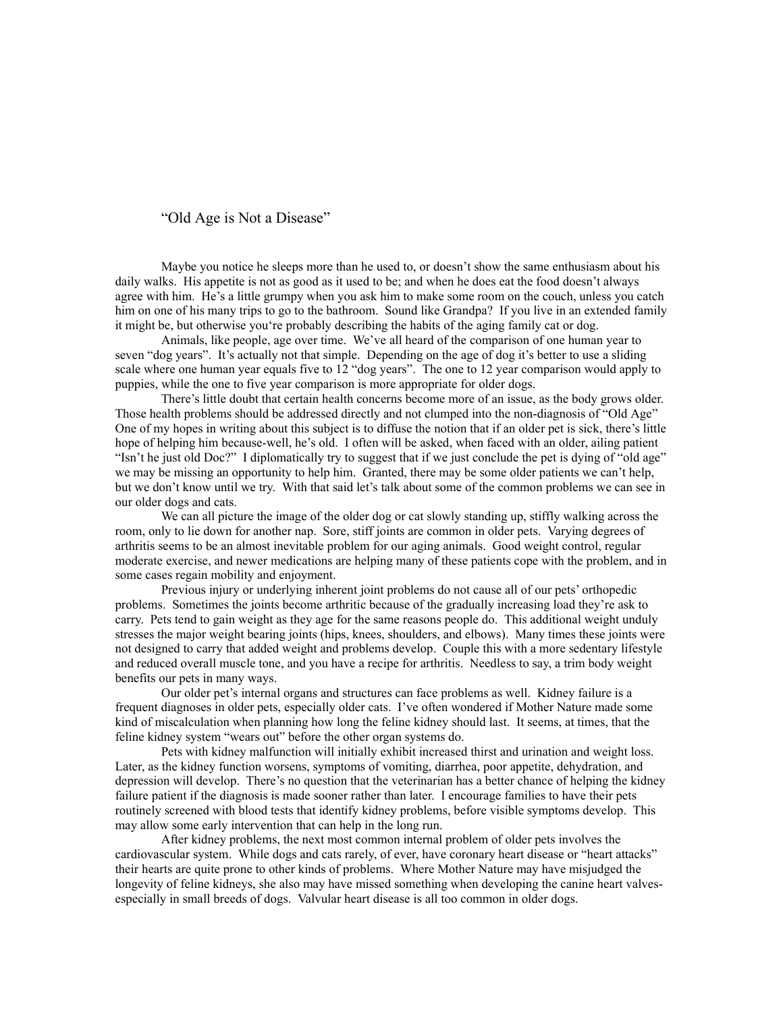"Old Age is Not a Disease"

Maybe you notice he sleeps more than he used to, or doesn't show the same enthusiasm about his daily walks. His appetite is not as good as it used to be; and when he does eat the food doesn't always agree with him. He's a little grumpy when you ask him to make some room on the couch, unless you catch him on one of his many trips to go to the bathroom. Sound like Grandpa? If you live in an extended family it might be, but otherwise you're probably describing the habits of the aging family cat or dog.

Animals, like people, age over time. We've all heard of the comparison of one human year to seven "dog years". It's actually not that simple. Depending on the age of dog it's better to use a sliding scale where one human year equals five to 12 "dog years". The one to 12 year comparison would apply to puppies, while the one to five year comparison is more appropriate for older dogs.

There's little doubt that certain health concerns become more of an issue, as the body grows older. Those health problems should be addressed directly and not clumped into the non-diagnosis of "Old Age" One of my hopes in writing about this subject is to diffuse the notion that if an older pet is sick, there's little hope of helping him because-well, he's old. I often will be asked, when faced with an older, ailing patient "Isn't he just old Doc?" I diplomatically try to suggest that if we just conclude the pet is dying of "old age" we may be missing an opportunity to help him. Granted, there may be some older patients we can't help, but we don't know until we try. With that said let's talk about some of the common problems we can see in our older dogs and cats.

We can all picture the image of the older dog or cat slowly standing up, stiffly walking across the room, only to lie down for another nap. Sore, stiff joints are common in older pets. Varying degrees of arthritis seems to be an almost inevitable problem for our aging animals. Good weight control, regular moderate exercise, and newer medications are helping many of these patients cope with the problem, and in some cases regain mobility and enjoyment.

Previous injury or underlying inherent joint problems do not cause all of our pets' orthopedic problems. Sometimes the joints become arthritic because of the gradually increasing load they're ask to carry. Pets tend to gain weight as they age for the same reasons people do. This additional weight unduly stresses the major weight bearing joints (hips, knees, shoulders, and elbows). Many times these joints were not designed to carry that added weight and problems develop. Couple this with a more sedentary lifestyle and reduced overall muscle tone, and you have a recipe for arthritis. Needless to say, a trim body weight benefits our pets in many ways.

Our older pet's internal organs and structures can face problems as well. Kidney failure is a frequent diagnoses in older pets, especially older cats. I've often wondered if Mother Nature made some kind of miscalculation when planning how long the feline kidney should last. It seems, at times, that the feline kidney system "wears out" before the other organ systems do.

Pets with kidney malfunction will initially exhibit increased thirst and urination and weight loss. Later, as the kidney function worsens, symptoms of vomiting, diarrhea, poor appetite, dehydration, and depression will develop. There's no question that the veterinarian has a better chance of helping the kidney failure patient if the diagnosis is made sooner rather than later. I encourage families to have their pets routinely screened with blood tests that identify kidney problems, before visible symptoms develop. This may allow some early intervention that can help in the long run.

After kidney problems, the next most common internal problem of older pets involves the cardiovascular system. While dogs and cats rarely, of ever, have coronary heart disease or "heart attacks" their hearts are quite prone to other kinds of problems. Where Mother Nature may have misjudged the longevity of feline kidneys, she also may have missed something when developing the canine heart valvesespecially in small breeds of dogs. Valvular heart disease is all too common in older dogs.